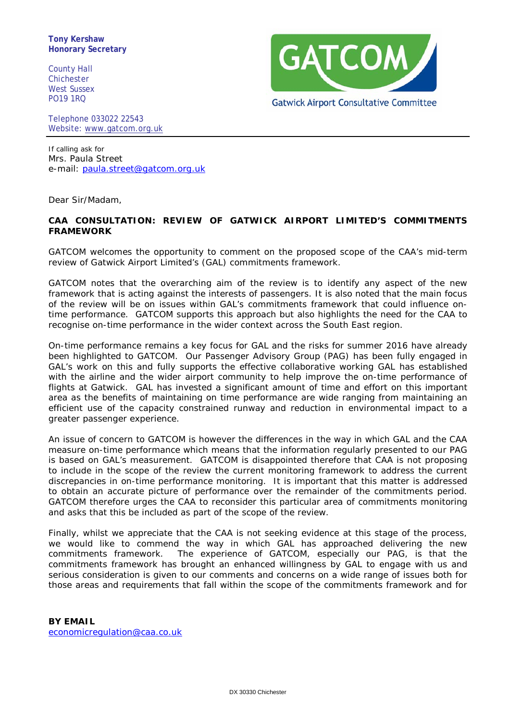**Tony Kershaw Honorary Secretary**

County Hall Chichester West Sussex PO19 1RQ



Telephone 033022 22543 Website: [www.gatcom.org.uk](http://www.gatcom.org.uk/)

If calling ask for Mrs. Paula Street e-mail: [paula.street@gatcom.org.uk](mailto:paula.street@gatcom.org.uk)

Dear Sir/Madam,

## **CAA CONSULTATION: REVIEW OF GATWICK AIRPORT LIMITED'S COMMITMENTS FRAMEWORK**

GATCOM welcomes the opportunity to comment on the proposed scope of the CAA's mid-term review of Gatwick Airport Limited's (GAL) commitments framework.

GATCOM notes that the overarching aim of the review is to identify any aspect of the new framework that is acting against the interests of passengers. It is also noted that the main focus of the review will be on issues within GAL's commitments framework that could influence ontime performance. GATCOM supports this approach but also highlights the need for the CAA to recognise on-time performance in the wider context across the South East region.

On-time performance remains a key focus for GAL and the risks for summer 2016 have already been highlighted to GATCOM. Our Passenger Advisory Group (PAG) has been fully engaged in GAL's work on this and fully supports the effective collaborative working GAL has established with the airline and the wider airport community to help improve the on-time performance of flights at Gatwick. GAL has invested a significant amount of time and effort on this important area as the benefits of maintaining on time performance are wide ranging from maintaining an efficient use of the capacity constrained runway and reduction in environmental impact to a greater passenger experience.

An issue of concern to GATCOM is however the differences in the way in which GAL and the CAA measure on-time performance which means that the information regularly presented to our PAG is based on GAL's measurement. GATCOM is disappointed therefore that CAA is not proposing to include in the scope of the review the current monitoring framework to address the current discrepancies in on-time performance monitoring. It is important that this matter is addressed to obtain an accurate picture of performance over the remainder of the commitments period. GATCOM therefore urges the CAA to reconsider this particular area of commitments monitoring and asks that this be included as part of the scope of the review.

Finally, whilst we appreciate that the CAA is not seeking evidence at this stage of the process, we would like to commend the way in which GAL has approached delivering the new commitments framework. The experience of GATCOM, especially our PAG, is that the commitments framework has brought an enhanced willingness by GAL to engage with us and serious consideration is given to our comments and concerns on a wide range of issues both for those areas and requirements that fall within the scope of the commitments framework and for

**BY EMAIL** [economicregulation@caa.co.uk](mailto:economicregulation@caa.co.uk)